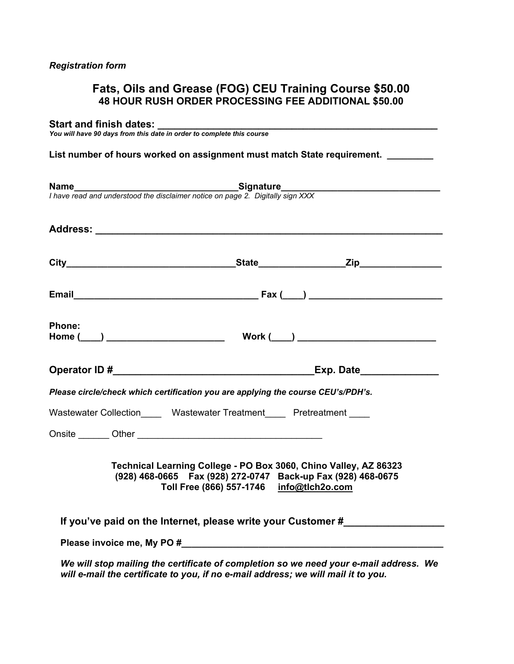# **Fats, Oils and Grease (FOG) CEU Training Course \$50.00 48 HOUR RUSH ORDER PROCESSING FEE ADDITIONAL \$50.00**

#### **Start and finish dates: \_\_\_\_\_\_\_\_\_\_\_\_\_\_\_\_\_\_\_\_\_\_\_\_\_\_\_\_\_\_\_\_\_\_\_\_\_\_\_\_\_\_\_\_\_\_\_\_\_\_**

*You will have 90 days from this date in order to complete this course*

## List number of hours worked on assignment must match State requirement. \_\_\_\_\_\_\_\_

|        | <b>Name</b><br>I have read and understood the disclaimer notice on page 2. Digitally sign XXX                                                                                                                                  |
|--------|--------------------------------------------------------------------------------------------------------------------------------------------------------------------------------------------------------------------------------|
|        |                                                                                                                                                                                                                                |
|        |                                                                                                                                                                                                                                |
|        |                                                                                                                                                                                                                                |
| Phone: | Work $(\_\_)$                                                                                                                                                                                                                  |
|        |                                                                                                                                                                                                                                |
|        | Please circle/check which certification you are applying the course CEU's/PDH's.                                                                                                                                               |
|        | Wastewater Collection Wastewater Treatment Pretreatment                                                                                                                                                                        |
|        |                                                                                                                                                                                                                                |
|        | Technical Learning College - PO Box 3060, Chino Valley, AZ 86323<br>(928) 468-0665  Fax (928) 272-0747  Back-up Fax (928) 468-0675<br>Toll Free (866) 557-1746 info@tlch2o.com                                                 |
|        | If you've paid on the Internet, please write your Customer #                                                                                                                                                                   |
|        | Please invoice me, My PO # Next Assembly a series of the series of the series of the series of the series of the series of the series of the series of the series of the series of the series of the series of the series of t |
|        | We will stop mailing the certificate of completion so we need your e-mail address. We<br>will e-mail the certificate to you, if no e-mail address; we will mail it to you.                                                     |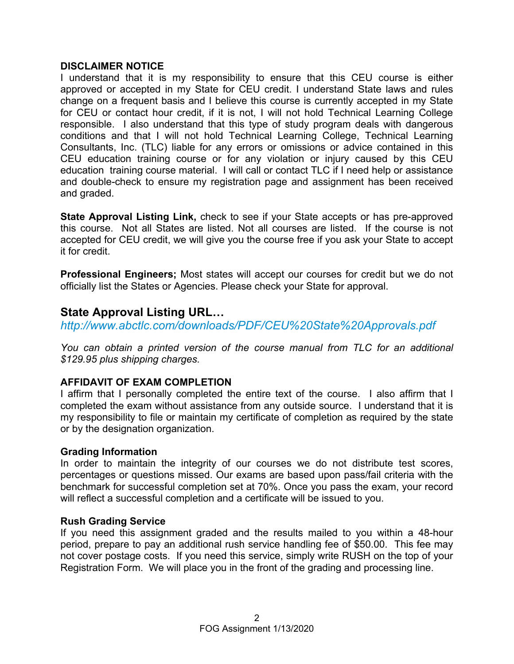## **DISCLAIMER NOTICE**

I understand that it is my responsibility to ensure that this CEU course is either approved or accepted in my State for CEU credit. I understand State laws and rules change on a frequent basis and I believe this course is currently accepted in my State for CEU or contact hour credit, if it is not, I will not hold Technical Learning College responsible. I also understand that this type of study program deals with dangerous conditions and that I will not hold Technical Learning College, Technical Learning Consultants, Inc. (TLC) liable for any errors or omissions or advice contained in this CEU education training course or for any violation or injury caused by this CEU education training course material. I will call or contact TLC if I need help or assistance and double-check to ensure my registration page and assignment has been received and graded.

**State Approval Listing Link,** check to see if your State accepts or has pre-approved this course. Not all States are listed. Not all courses are listed. If the course is not accepted for CEU credit, we will give you the course free if you ask your State to accept it for credit.

**Professional Engineers;** Most states will accept our courses for credit but we do not officially list the States or Agencies. Please check your State for approval.

# **State Approval Listing URL…**

*<http://www.abctlc.com/downloads/PDF/CEU%20State%20Approvals.pdf>*

*You can obtain a printed version of the course manual from TLC for an additional \$129.95 plus shipping charges.* 

# **AFFIDAVIT OF EXAM COMPLETION**

I affirm that I personally completed the entire text of the course. I also affirm that I completed the exam without assistance from any outside source. I understand that it is my responsibility to file or maintain my certificate of completion as required by the state or by the designation organization.

## **Grading Information**

In order to maintain the integrity of our courses we do not distribute test scores, percentages or questions missed. Our exams are based upon pass/fail criteria with the benchmark for successful completion set at 70%. Once you pass the exam, your record will reflect a successful completion and a certificate will be issued to you.

## **Rush Grading Service**

If you need this assignment graded and the results mailed to you within a 48-hour period, prepare to pay an additional rush service handling fee of \$50.00. This fee may not cover postage costs. If you need this service, simply write RUSH on the top of your Registration Form. We will place you in the front of the grading and processing line.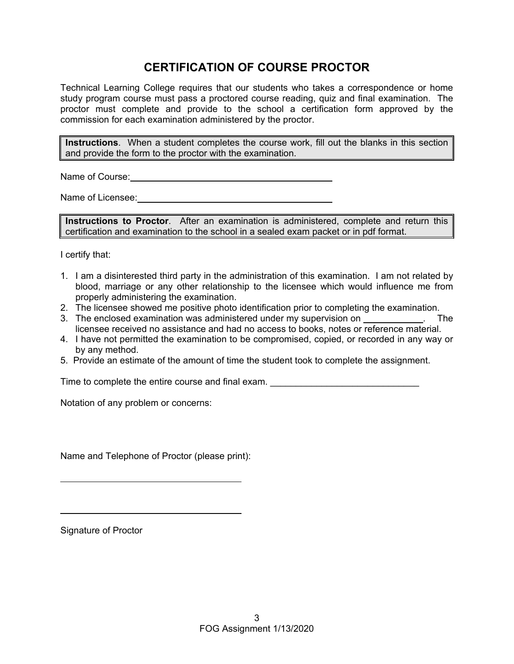# **CERTIFICATION OF COURSE PROCTOR**

Technical Learning College requires that our students who takes a correspondence or home study program course must pass a proctored course reading, quiz and final examination. The proctor must complete and provide to the school a certification form approved by the commission for each examination administered by the proctor.

**Instructions**. When a student completes the course work, fill out the blanks in this section and provide the form to the proctor with the examination.

Name of Course: **Name of Course:** 

Name of Licensee: **Name of Licensee:** 

**Instructions to Proctor**. After an examination is administered, complete and return this certification and examination to the school in a sealed exam packet or in pdf format.

I certify that:

- 1. I am a disinterested third party in the administration of this examination. I am not related by blood, marriage or any other relationship to the licensee which would influence me from properly administering the examination.
- 2. The licensee showed me positive photo identification prior to completing the examination.
- 3. The enclosed examination was administered under my supervision on **Example 2.** The licensee received no assistance and had no access to books, notes or reference material.
- 4. I have not permitted the examination to be compromised, copied, or recorded in any way or by any method.
- 5. Provide an estimate of the amount of time the student took to complete the assignment.

Time to complete the entire course and final exam.

Notation of any problem or concerns:

Name and Telephone of Proctor (please print):

Signature of Proctor

 $\overline{a}$ 

 $\overline{a}$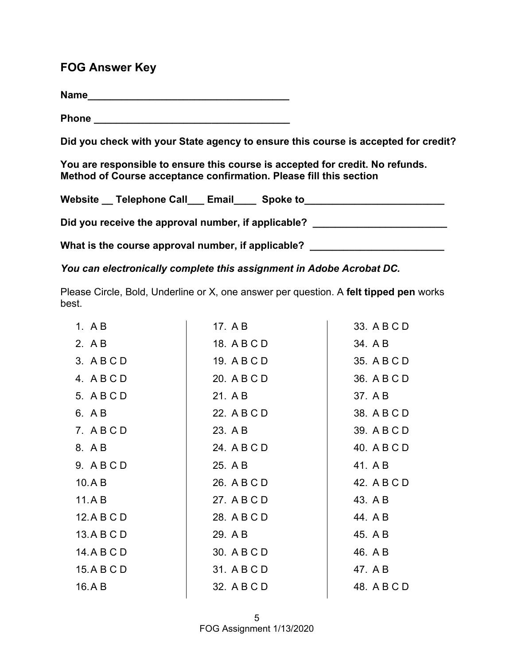# **FOG Answer Key**

**Name\_\_\_\_\_\_\_\_\_\_\_\_\_\_\_\_\_\_\_\_\_\_\_\_\_\_\_\_\_\_\_\_\_\_\_\_**

**Phone \_\_\_\_\_\_\_\_\_\_\_\_\_\_\_\_\_\_\_\_\_\_\_\_\_\_\_\_\_\_\_\_\_\_\_** 

**Did you check with your State agency to ensure this course is accepted for credit?** 

**You are responsible to ensure this course is accepted for credit. No refunds. Method of Course acceptance confirmation. Please fill this section** 

| Website | <b>Telephone Call</b>                               | Email | Spoke to |  |
|---------|-----------------------------------------------------|-------|----------|--|
|         | Did you receive the approval number, if applicable? |       |          |  |

What is the course approval number, if applicable? \_\_\_\_\_\_\_\_\_\_\_\_\_\_\_\_\_\_\_\_\_\_\_\_\_\_\_\_\_

*You can electronically complete this assignment in Adobe Acrobat DC.* 

Please Circle, Bold, Underline or X, one answer per question. A **felt tipped pen** works best.

| 1. $AB$     | 17. A B     | 33. A B C D |
|-------------|-------------|-------------|
| 2. A B      | 18. A B C D | 34. A B     |
| 3. ABCD     | 19. A B C D | 35. A B C D |
| 4. ABCD     | 20. A B C D | 36. A B C D |
| 5. A B C D  | 21. A B     | 37. A B     |
| 6. A B      | 22. A B C D | 38. A B C D |
| 7. ABCD     | 23. A B     | 39. A B C D |
| 8. A B      | 24. A B C D | 40. A B C D |
| 9. ABCD     | 25. A B     | 41. A B     |
| 10.A B      | 26. A B C D | 42. A B C D |
| 11.A B      | 27. A B C D | 43. A B     |
| 12.ABCD     | 28. A B C D | 44. A B     |
| 13.A B C D  | 29. A B     | 45. A B     |
| 14. A B C D | 30. A B C D | 46. A B     |
| 15.ABCD     | 31. A B C D | 47. A B     |
| 16.AB       | 32. A B C D | 48. A B C D |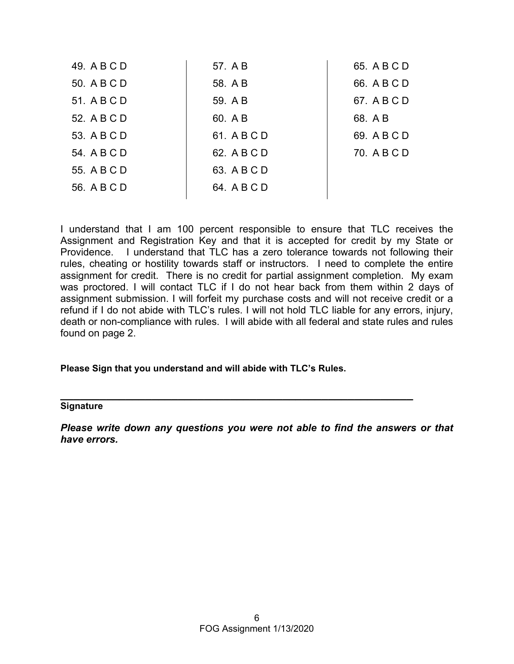| 49. A B C D | 57. A B     | 65. A B C D |
|-------------|-------------|-------------|
| 50. A B C D | 58. A B     | 66. A B C D |
| 51. A B C D | 59. A B     | 67. A B C D |
| 52. A B C D | 60. A B     | 68. A B     |
| 53. A B C D | 61. A B C D | 69. A B C D |
| 54. A B C D | 62. A B C D | 70. A B C D |
| 55. A B C D | 63. A B C D |             |
| 56. A B C D | 64. A B C D |             |
|             |             |             |

I understand that I am 100 percent responsible to ensure that TLC receives the Assignment and Registration Key and that it is accepted for credit by my State or Providence. I understand that TLC has a zero tolerance towards not following their rules, cheating or hostility towards staff or instructors. I need to complete the entire assignment for credit. There is no credit for partial assignment completion. My exam was proctored. I will contact TLC if I do not hear back from them within 2 days of assignment submission. I will forfeit my purchase costs and will not receive credit or a refund if I do not abide with TLC's rules. I will not hold TLC liable for any errors, injury, death or non-compliance with rules. I will abide with all federal and state rules and rules found on page 2.

#### **Please Sign that you understand and will abide with TLC's Rules.**

# **\_\_\_\_\_\_\_\_\_\_\_\_\_\_\_\_\_\_\_\_\_\_\_\_\_\_\_\_\_\_\_\_\_\_\_\_\_\_\_\_\_\_\_\_\_\_\_\_\_\_\_\_\_\_ Signature**

*Please write down any questions you were not able to find the answers or that have errors.*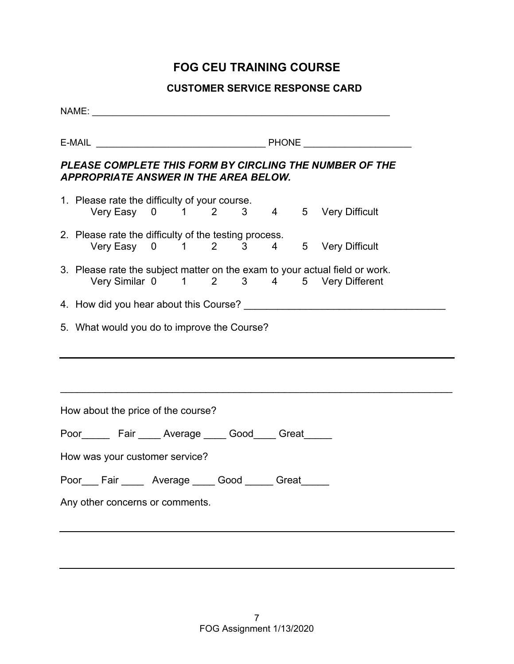# **FOG CEU TRAINING COURSE**

# **CUSTOMER SERVICE RESPONSE CARD**

| NAME: NAME:                                                                                                            |  |  |
|------------------------------------------------------------------------------------------------------------------------|--|--|
|                                                                                                                        |  |  |
| PLEASE COMPLETE THIS FORM BY CIRCLING THE NUMBER OF THE<br><b>APPROPRIATE ANSWER IN THE AREA BELOW.</b>                |  |  |
| 1. Please rate the difficulty of your course.<br>Very Easy 0 1 2 3 4 5 Very Difficult                                  |  |  |
| 2. Please rate the difficulty of the testing process.<br>Very Easy 0 1 2 3 4 5 Very Difficult                          |  |  |
| 3. Please rate the subject matter on the exam to your actual field or work.<br>Very Similar 0 1 2 3 4 5 Very Different |  |  |
|                                                                                                                        |  |  |
| 5. What would you do to improve the Course?                                                                            |  |  |
| How about the price of the course?                                                                                     |  |  |
| Poor________ Fair ______ Average ______ Good_____ Great______                                                          |  |  |
| How was your customer service?                                                                                         |  |  |
| Poor Fair Average Good Great                                                                                           |  |  |
| Any other concerns or comments.                                                                                        |  |  |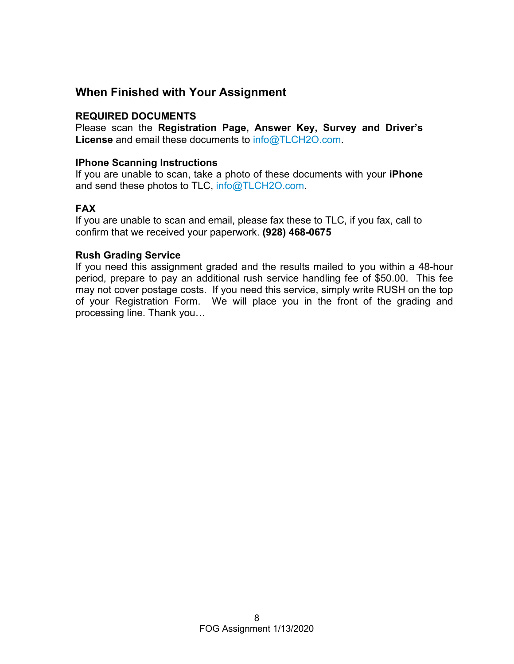# **When Finished with Your Assignment**

## **REQUIRED DOCUMENTS**

Please scan the **Registration Page, Answer Key, Survey and Driver's License** and email these documents to [info@TLCH2O.com.](mailto:info@TLCH2O.com) 

#### **IPhone Scanning Instructions**

If you are unable to scan, take a photo of these documents with your **iPhone** and send these photos to TLC, info@TLCH2O.com.

## **FAX**

If you are unable to scan and email, please fax these to TLC, if you fax, call to confirm that we received your paperwork. **(928) 468-0675** 

## **Rush Grading Service**

If you need this assignment graded and the results mailed to you within a 48-hour period, prepare to pay an additional rush service handling fee of \$50.00. This fee may not cover postage costs. If you need this service, simply write RUSH on the top of your Registration Form. We will place you in the front of the grading and processing line. Thank you…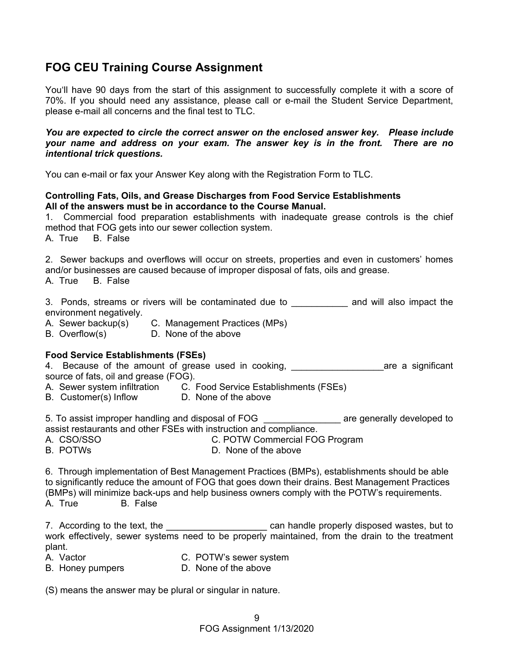# **FOG CEU Training Course Assignment**

You'll have 90 days from the start of this assignment to successfully complete it with a score of 70%. If you should need any assistance, please call or e-mail the Student Service Department, please e-mail all concerns and the final test to TLC.

*You are expected to circle the correct answer on the enclosed answer key. Please include your name and address on your exam. The answer key is in the front. There are no intentional trick questions.* 

You can e-mail or fax your Answer Key along with the Registration Form to TLC.

#### **Controlling Fats, Oils, and Grease Discharges from Food Service Establishments All of the answers must be in accordance to the Course Manual.**

1. Commercial food preparation establishments with inadequate grease controls is the chief method that FOG gets into our sewer collection system.

A. True B. False

2. Sewer backups and overflows will occur on streets, properties and even in customers' homes and/or businesses are caused because of improper disposal of fats, oils and grease.

A. True B. False

3. Ponds, streams or rivers will be contaminated due to **Example 2** and will also impact the environment negatively.

- A. Sewer backup(s) C. Management Practices (MPs)
- B. Overflow(s) D. None of the above

#### **Food Service Establishments (FSEs)**

4. Because of the amount of grease used in cooking, and the same a significant source of fats, oil and grease (FOG).

- A. Sewer system infiltration C. Food Service Establishments (FSEs)
- B. Customer(s) Inflow D. None of the above

5. To assist improper handling and disposal of FOG **Example 20** are generally developed to assist restaurants and other FSEs with instruction and compliance.

- A. CSO/SSO C. POTW Commercial FOG Program
- B. POTWs D. None of the above

6. Through implementation of Best Management Practices (BMPs), establishments should be able to significantly reduce the amount of FOG that goes down their drains. Best Management Practices

(BMPs) will minimize back-ups and help business owners comply with the POTW's requirements.

A. True B. False

7. According to the text, the \_\_\_\_\_\_\_\_\_\_\_\_\_\_\_\_\_\_\_\_\_\_\_\_\_\_\_\_\_ can handle properly disposed wastes, but to work effectively, sewer systems need to be properly maintained, from the drain to the treatment plant.

- 
- A. Vactor **C. POTW's sewer system**
- B. Honey pumpers **D. None of the above**

(S) means the answer may be plural or singular in nature.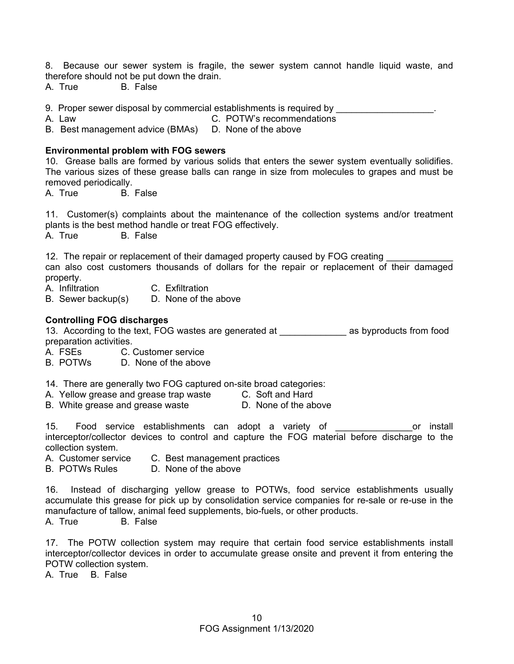8. Because our sewer system is fragile, the sewer system cannot handle liquid waste, and therefore should not be put down the drain.

A. True B. False

9. Proper sewer disposal by commercial establishments is required by  $\qquad \qquad \ldots$ 

A. Law C. POTW's recommendations

B. Best management advice (BMAs) D. None of the above

#### **Environmental problem with FOG sewers**

10. Grease balls are formed by various solids that enters the sewer system eventually solidifies. The various sizes of these grease balls can range in size from molecules to grapes and must be removed periodically.

A. True B. False

11. Customer(s) complaints about the maintenance of the collection systems and/or treatment plants is the best method handle or treat FOG effectively.

A. True B. False

12. The repair or replacement of their damaged property caused by FOG creating

can also cost customers thousands of dollars for the repair or replacement of their damaged property.

- A. Infiltration C. Exfiltration
- B. Sewer backup(s) D. None of the above

#### **Controlling FOG discharges**

13. According to the text, FOG wastes are generated at **the as a supproducts from food** preparation activities.

A. FSEs C. Customer service

B. POTWs D. None of the above

14. There are generally two FOG captured on-site broad categories:

A. Yellow grease and grease trap waste C. Soft and Hard

B. White grease and grease waste **D.** None of the above

15. Food service establishments can adopt a variety of The Constall or install interceptor/collector devices to control and capture the FOG material before discharge to the collection system.

- A. Customer service C. Best management practices
- B. POTWs Rules D. None of the above

16. Instead of discharging yellow grease to POTWs, food service establishments usually accumulate this grease for pick up by consolidation service companies for re-sale or re-use in the manufacture of tallow, animal feed supplements, bio-fuels, or other products.

A. True B. False

17. The POTW collection system may require that certain food service establishments install interceptor/collector devices in order to accumulate grease onsite and prevent it from entering the POTW collection system.

A. True B. False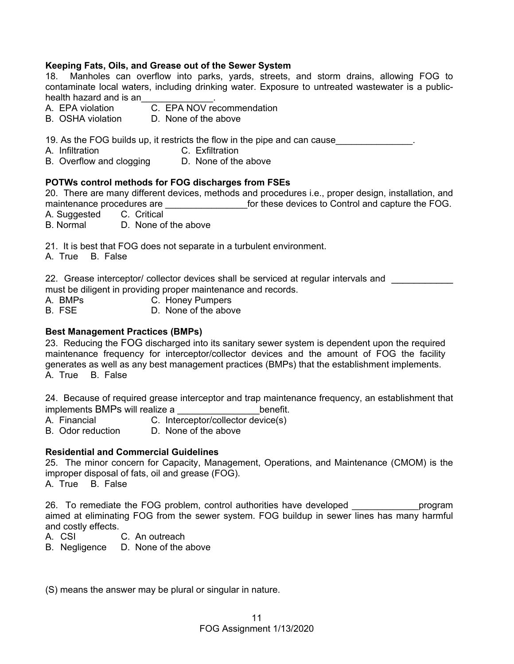#### **Keeping Fats, Oils, and Grease out of the Sewer System**

18. Manholes can overflow into parks, yards, streets, and storm drains, allowing FOG to contaminate local waters, including drinking water. Exposure to untreated wastewater is a publichealth hazard and is an

- A. EPA violation C. EPA NOV recommendation
- B. OSHA violation D. None of the above

19. As the FOG builds up, it restricts the flow in the pipe and can cause

- A. Infiltration C. Exfiltration
- B. Overflow and clogging D. None of the above

#### **POTWs control methods for FOG discharges from FSEs**

20. There are many different devices, methods and procedures i.e., proper design, installation, and maintenance procedures are \_\_\_\_\_\_\_\_\_\_\_\_\_\_\_\_\_\_\_\_for these devices to Control and capture the FOG.

A. Suggested C. Critical

B. Normal D. None of the above

21. It is best that FOG does not separate in a turbulent environment.

A. True B. False

22. Grease interceptor/ collector devices shall be serviced at regular intervals and must be diligent in providing proper maintenance and records.

A. BMPs C. Honey Pumpers

B. FSE D. None of the above

#### **Best Management Practices (BMPs)**

23. Reducing the FOG discharged into its sanitary sewer system is dependent upon the required maintenance frequency for interceptor/collector devices and the amount of FOG the facility generates as well as any best management practices (BMPs) that the establishment implements. A. True B. False

24. Because of required grease interceptor and trap maintenance frequency, an establishment that implements BMPs will realize a **Example 20** benefit.

- A. Financial C. Interceptor/collector device(s)
- B. Odor reduction D. None of the above

#### **Residential and Commercial Guidelines**

25. The minor concern for Capacity, Management, Operations, and Maintenance (CMOM) is the improper disposal of fats, oil and grease (FOG).

A. True B. False

26. To remediate the FOG problem, control authorities have developed entity roogram aimed at eliminating FOG from the sewer system. FOG buildup in sewer lines has many harmful and costly effects.

- A. CSI C. An outreach
- B. Negligence D. None of the above

(S) means the answer may be plural or singular in nature.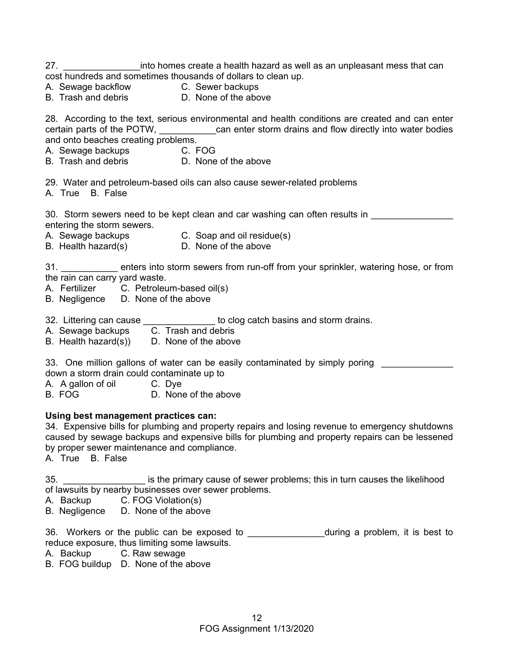- 27. \_\_\_\_\_\_\_\_\_\_\_\_\_\_\_\_\_\_\_into homes create a health hazard as well as an unpleasant mess that can cost hundreds and sometimes thousands of dollars to clean up.
- A. Sewage backflow **C. Sewer backups**
- 
- B. Trash and debris **D.** None of the above
- 

28. According to the text, serious environmental and health conditions are created and can enter certain parts of the POTW, \_\_\_\_\_\_\_\_\_\_\_\_can enter storm drains and flow directly into water bodies and onto beaches creating problems.

- A. Sewage backups **C. FOG**
- B. Trash and debris **D.** None of the above

29. Water and petroleum-based oils can also cause sewer-related problems

A. True B. False

30. Storm sewers need to be kept clean and car washing can often results in entering the storm sewers.

- A. Sewage backups C. Soap and oil residue(s)
- B. Health hazard(s) D. None of the above

31. **Example 1** enters into storm sewers from run-off from your sprinkler, watering hose, or from the rain can carry yard waste.

- A. Fertilizer C. Petroleum-based oil(s)
- B. Negligence D. None of the above
- 32. Littering can cause \_\_\_\_\_\_\_\_\_\_\_\_\_\_\_ to clog catch basins and storm drains.
- A. Sewage backups C. Trash and debris
- B. Health hazard(s)) D. None of the above

33. One million gallons of water can be easily contaminated by simply poring

down a storm drain could contaminate up to

A. A gallon of oil C. Dye

B. FOG D. None of the above

#### **Using best management practices can:**

34. Expensive bills for plumbing and property repairs and losing revenue to emergency shutdowns caused by sewage backups and expensive bills for plumbing and property repairs can be lessened by proper sewer maintenance and compliance.

A. True B. False

35. **Example 25** is the primary cause of sewer problems; this in turn causes the likelihood of lawsuits by nearby businesses over sewer problems.

- A. Backup C. FOG Violation(s)
- B. Negligence D. None of the above

36. Workers or the public can be exposed to \_\_\_\_\_\_\_\_\_\_\_\_\_\_\_\_during a problem, it is best to reduce exposure, thus limiting some lawsuits.

- A. Backup C. Raw sewage
- B. FOG buildup D. None of the above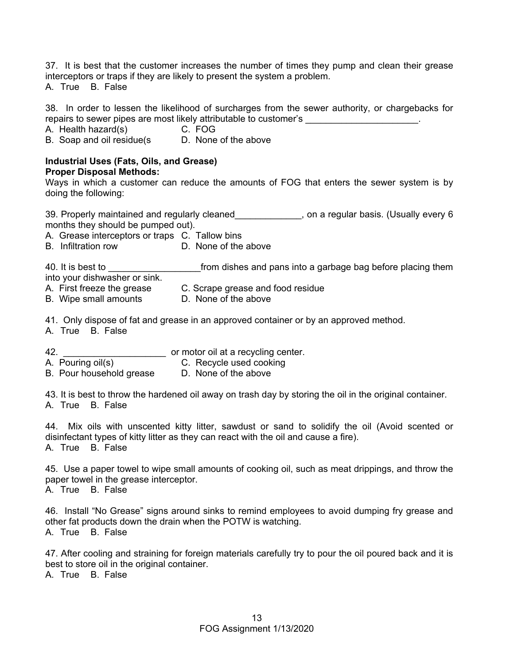37. It is best that the customer increases the number of times they pump and clean their grease interceptors or traps if they are likely to present the system a problem. A. True B. False

38. In order to lessen the likelihood of surcharges from the sewer authority, or chargebacks for repairs to sewer pipes are most likely attributable to customer's

A. Health hazard(s) C. FOG

B. Soap and oil residue(s D. None of the above

#### **Industrial Uses (Fats, Oils, and Grease) Proper Disposal Methods:**

Ways in which a customer can reduce the amounts of FOG that enters the sewer system is by doing the following:

39. Properly maintained and regularly cleaned\_\_\_\_\_\_\_\_\_\_\_\_\_, on a regular basis. (Usually every 6 months they should be pumped out).

A. Grease interceptors or traps C. Tallow bins

B. Infiltration row D. None of the above

40. It is best to \_\_\_\_\_\_\_\_\_\_\_\_\_\_\_\_\_\_\_\_\_\_\_\_from dishes and pans into a garbage bag before placing them into your dishwasher or sink. A. First freeze the grease C. Scrape grease and food residue

B. Wipe small amounts D. None of the above

41. Only dispose of fat and grease in an approved container or by an approved method.

A. True B. False

42. \_\_\_\_\_\_\_\_\_\_\_\_\_\_\_\_\_\_\_\_ or motor oil at a recycling center.

A. Pouring oil(s) C. Recycle used cooking

B. Pour household grease D. None of the above

43. It is best to throw the hardened oil away on trash day by storing the oil in the original container. A. True B. False

44. Mix oils with unscented kitty litter, sawdust or sand to solidify the oil (Avoid scented or disinfectant types of kitty litter as they can react with the oil and cause a fire). A. True B. False

45. Use a paper towel to wipe small amounts of cooking oil, such as meat drippings, and throw the paper towel in the grease interceptor.

A. True B. False

46. Install "No Grease" signs around sinks to remind employees to avoid dumping fry grease and other fat products down the drain when the POTW is watching. A. True B. False

47. After cooling and straining for foreign materials carefully try to pour the oil poured back and it is best to store oil in the original container.

A. True B. False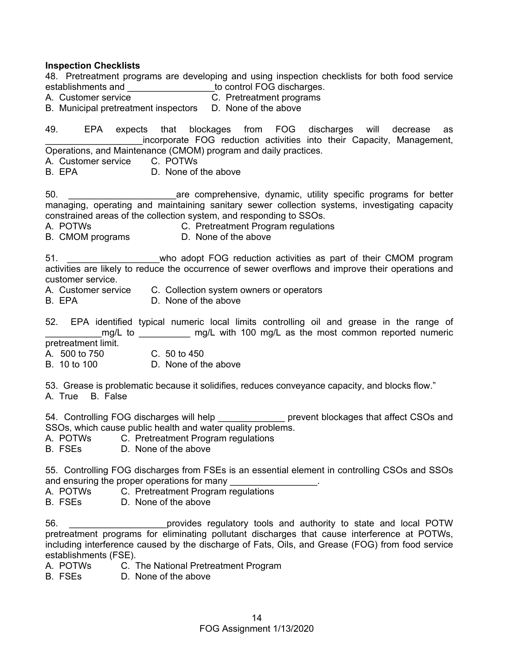#### **Inspection Checklists**

48. Pretreatment programs are developing and using inspection checklists for both food service establishments and \_\_\_\_\_\_\_\_\_\_\_\_\_\_\_\_\_to control FOG discharges.

- A. Customer service C. Pretreatment programs
- B. Municipal pretreatment inspectors D. None of the above

49. EPA expects that blockages from FOG discharges will decrease as incorporate FOG reduction activities into their Capacity, Management, Operations, and Maintenance (CMOM) program and daily practices.

- A. Customer service C. POTWs
- B. EPA D. None of the above

50. \_\_\_\_\_\_\_\_\_\_\_\_\_\_\_\_\_\_\_\_\_are comprehensive, dynamic, utility specific programs for better managing, operating and maintaining sanitary sewer collection systems, investigating capacity constrained areas of the collection system, and responding to SSOs.

A. POTWs C. Pretreatment Program regulations

B. CMOM programs D. None of the above

51. **Example 3** who adopt FOG reduction activities as part of their CMOM program activities are likely to reduce the occurrence of sewer overflows and improve their operations and customer service.

- A. Customer service C. Collection system owners or operators<br>B. FPA C. None of the above
- D. None of the above
- 52. EPA identified typical numeric local limits controlling oil and grease in the range of mg/L to mg/L with 100 mg/L as the most common reported numeric
- pretreatment limit.
- A. 500 to 750 C. 50 to 450
- B. 10 to 100 D. None of the above

53. Grease is problematic because it solidifies, reduces conveyance capacity, and blocks flow."

A. True B. False

54. Controlling FOG discharges will help entitled prevent blockages that affect CSOs and SSOs, which cause public health and water quality problems.

- A. POTWs C. Pretreatment Program regulations
- B. FSEs D. None of the above

55. Controlling FOG discharges from FSEs is an essential element in controlling CSOs and SSOs and ensuring the proper operations for many

- A. POTWs C. Pretreatment Program regulations
- B. FSEs D. None of the above

56. \_\_\_\_\_\_\_\_\_\_\_\_\_\_\_\_\_\_\_provides regulatory tools and authority to state and local POTW pretreatment programs for eliminating pollutant discharges that cause interference at POTWs, including interference caused by the discharge of Fats, Oils, and Grease (FOG) from food service establishments (FSE).

- A. POTWs C. The National Pretreatment Program
- B. FSEs D. None of the above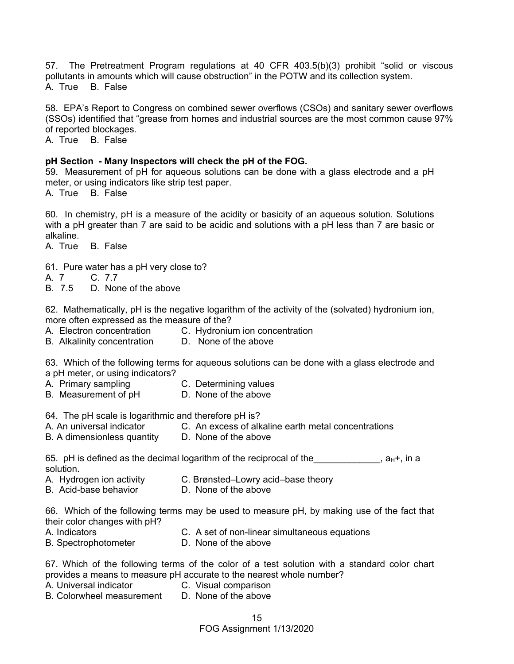57. The Pretreatment Program regulations at 40 CFR 403.5(b)(3) prohibit "solid or viscous pollutants in amounts which will cause obstruction" in the POTW and its collection system. A. True B. False

58. EPA's Report to Congress on combined sewer overflows (CSOs) and sanitary sewer overflows (SSOs) identified that "grease from homes and industrial sources are the most common cause 97% of reported blockages.

A. True B. False

#### **pH Section - Many Inspectors will check the pH of the FOG.**

59. Measurement of pH for aqueous solutions can be done with a glass electrode and a pH meter, or using indicators like strip test paper.

A. True B. False

60. In chemistry, pH is a measure of the acidity or basicity of an aqueous solution. Solutions with a pH greater than 7 are said to be acidic and solutions with a pH less than 7 are basic or alkaline.

A. True B. False

- 61. Pure water has a pH very close to?
- A. 7 C. 7.7
- B. 7.5 D. None of the above

62. Mathematically, pH is the negative logarithm of the activity of the (solvated) hydronium ion, more often expressed as the measure of the?

- A. Electron concentration C. Hydronium ion concentration<br>B. Alkalinity concentration D. None of the above
- B. Alkalinity concentration

63. Which of the following terms for aqueous solutions can be done with a glass electrode and a pH meter, or using indicators?

- A. Primary sampling C. Determining values
- B. Measurement of pH D. None of the above

64. The pH scale is logarithmic and therefore pH is?

- A. An universal indicator C. An excess of alkaline earth metal concentrations
- B. A dimensionless quantity D. None of the above

#### 65. pH is defined as the decimal logarithm of the reciprocal of the  $\Box$  ,  $a_{H^+}$ , in a solution.

- A. Hydrogen ion activity C. Brønsted–Lowry acid–base theory
- B. Acid-base behavior D. None of the above

66. Which of the following terms may be used to measure pH, by making use of the fact that their color changes with pH?

- A. Indicators C. A set of non-linear simultaneous equations
- B. SpectrophotometerD. None of the above

67. Which of the following terms of the color of a test solution with a standard color chart provides a means to measure pH accurate to the nearest whole number?

- A. Universal indicator C. Visual comparison
	-
- B. Colorwheel measurement D. None of the above